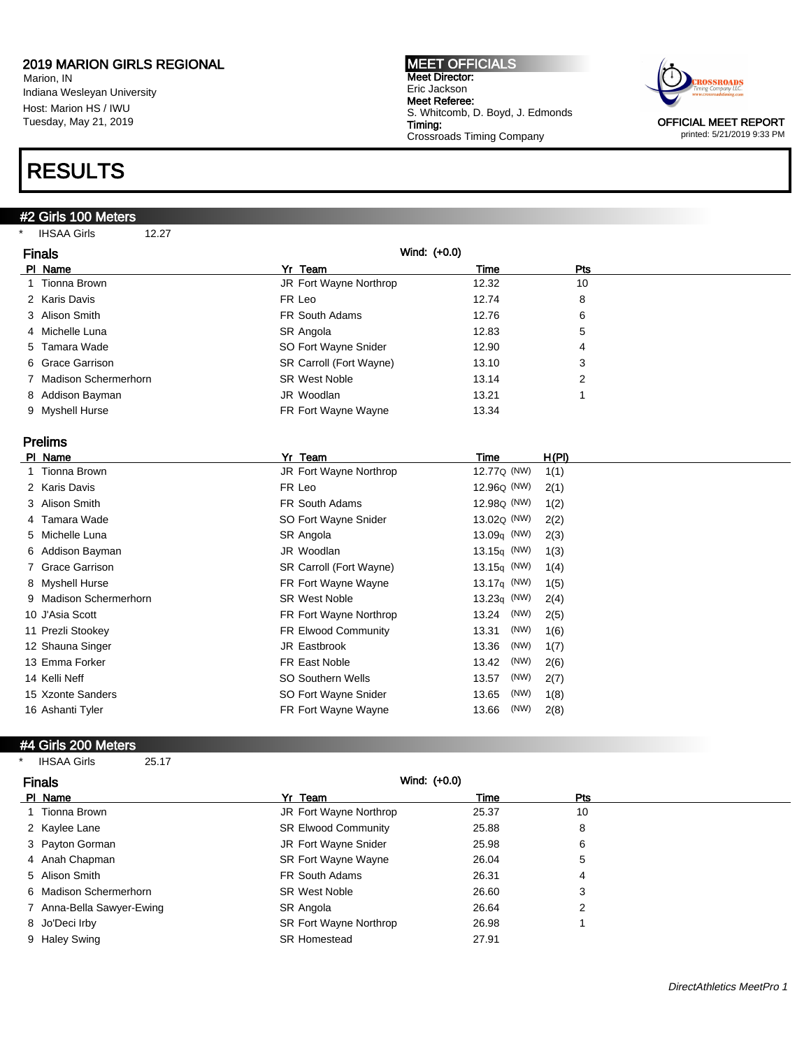Marion, IN Indiana Wesleyan University Host: Marion HS / IWU Tuesday, May 21, 2019

### RESULTS

#### #2 Girls 100 Meters

\* IHSAA Girls 12.27

MEET OFFICIALS Meet Director: Eric Jackson Meet Referee: S. Whitcomb, D. Boyd, J. Edmonds Timing: Crossroads Timing Company



printed: 5/21/2019 9:33 PM

| <b>Finals</b>          | Wind: (+0.0)            |       |     |
|------------------------|-------------------------|-------|-----|
| PI Name                | Yr Team                 | Time  | Pts |
| 1 Tionna Brown         | JR Fort Wayne Northrop  | 12.32 | 10  |
| 2 Karis Davis          | FR Leo                  | 12.74 | 8   |
| 3 Alison Smith         | FR South Adams          | 12.76 | 6   |
| 4 Michelle Luna        | SR Angola               | 12.83 | 5   |
| 5 Tamara Wade          | SO Fort Wayne Snider    | 12.90 | 4   |
| 6 Grace Garrison       | SR Carroll (Fort Wayne) | 13.10 | 3   |
| 7 Madison Schermerhorn | <b>SR West Noble</b>    | 13.14 | 2   |
| 8 Addison Bayman       | JR Woodlan              | 13.21 |     |
| 9 Myshell Hurse        | FR Fort Wayne Wayne     | 13.34 |     |

### Prelims

| PI Name                | Yr Team                    | Time                    | H(PI) |
|------------------------|----------------------------|-------------------------|-------|
| 1 Tionna Brown         | JR Fort Wayne Northrop     | 12.77 <sub>Q</sub> (NW) | 1(1)  |
| 2 Karis Davis          | FR Leo                     | 12.96 <sub>Q</sub> (NW) | 2(1)  |
| 3 Alison Smith         | <b>FR South Adams</b>      | 12.98 <sub>Q</sub> (NW) | 1(2)  |
| 4 Tamara Wade          | SO Fort Wayne Snider       | 13.02 <sub>Q</sub> (NW) | 2(2)  |
| 5 Michelle Luna        | SR Angola                  | 13.09 $q$ (NW)          | 2(3)  |
| 6 Addison Bayman       | JR Woodlan                 | 13.15 $\sigma$ (NW)     | 1(3)  |
| 7 Grace Garrison       | SR Carroll (Fort Wayne)    | 13.15 $\sigma$ (NW)     | 1(4)  |
| 8 Myshell Hurse        | FR Fort Wayne Wayne        | 13.17 $q$ (NW)          | 1(5)  |
| 9 Madison Schermerhorn | <b>SR West Noble</b>       | $13.23q$ (NW)           | 2(4)  |
| 10 J'Asia Scott        | FR Fort Wayne Northrop     | (NW)<br>13.24           | 2(5)  |
| 11 Prezli Stookey      | <b>FR Elwood Community</b> | (NW)<br>13.31           | 1(6)  |
| 12 Shauna Singer       | JR Eastbrook               | (NW)<br>13.36           | 1(7)  |
| 13 Emma Forker         | FR East Noble              | (NW)<br>13.42           | 2(6)  |
| 14 Kelli Neff          | <b>SO Southern Wells</b>   | (NW)<br>13.57           | 2(7)  |
| 15 Xzonte Sanders      | SO Fort Wayne Snider       | (NW)<br>13.65           | 1(8)  |
| 16 Ashanti Tyler       | FR Fort Wayne Wayne        | (NW)<br>13.66           | 2(8)  |
|                        |                            |                         |       |

#### #4 Girls 200 Meters

| <b>IHSAA Girls</b> | 25.17 |
|--------------------|-------|
|--------------------|-------|

| <b>Finals</b>             | Wind: (+0.0)               |       |     |  |
|---------------------------|----------------------------|-------|-----|--|
| PI Name                   | Yr Team                    | Time  | Pts |  |
| Tionna Brown              | JR Fort Wayne Northrop     | 25.37 | 10  |  |
| 2 Kaylee Lane             | <b>SR Elwood Community</b> | 25.88 | 8   |  |
| 3 Payton Gorman           | JR Fort Wayne Snider       | 25.98 | 6   |  |
| 4 Anah Chapman            | <b>SR Fort Wayne Wayne</b> | 26.04 | 5   |  |
| 5 Alison Smith            | FR South Adams             | 26.31 | 4   |  |
| 6 Madison Schermerhorn    | <b>SR West Noble</b>       | 26.60 | 3   |  |
| 7 Anna-Bella Sawyer-Ewing | SR Angola                  | 26.64 | 2   |  |
| 8 Jo'Deci Irby            | SR Fort Wayne Northrop     | 26.98 |     |  |
| 9 Haley Swing             | <b>SR Homestead</b>        | 27.91 |     |  |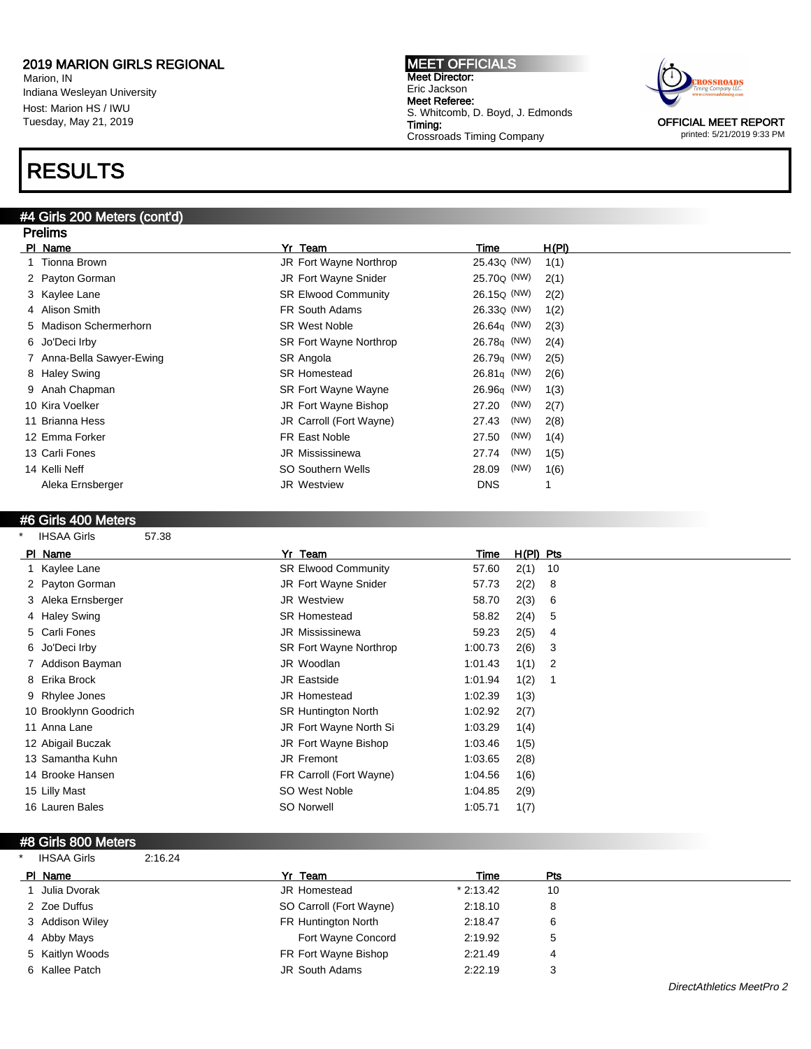Marion, IN Indiana Wesleyan University Host: Marion HS / IWU Tuesday, May 21, 2019

## RESULTS

#### #4 Girls 200 Meters (cont'd)

MEET OFFICIALS Meet Director: Eric Jackson Meet Referee: S. Whitcomb, D. Boyd, J. Edmonds Timing: Crossroads Timing Company



printed: 5/21/2019 9:33 PM

| <b>Prelims</b> |                           |                            |                         |       |  |  |
|----------------|---------------------------|----------------------------|-------------------------|-------|--|--|
| PI Name        |                           | Yr Team                    | Time                    | H(PI) |  |  |
|                | Tionna Brown              | JR Fort Wayne Northrop     | 25.430 (NW)             | 1(1)  |  |  |
|                | 2 Payton Gorman           | JR Fort Wayne Snider       | 25.70 <sub>Q</sub> (NW) | 2(1)  |  |  |
|                | 3 Kaylee Lane             | <b>SR Elwood Community</b> | 26.15 <sub>Q</sub> (NW) | 2(2)  |  |  |
|                | 4 Alison Smith            | <b>FR South Adams</b>      | 26.33 <sub>Q</sub> (NW) | 1(2)  |  |  |
|                | 5 Madison Schermerhorn    | <b>SR West Noble</b>       | $26.64q$ (NW)           | 2(3)  |  |  |
|                | 6 Jo'Deci Irby            | SR Fort Wayne Northrop     | $26.78q$ (NW)           | 2(4)  |  |  |
|                | 7 Anna-Bella Sawyer-Ewing | SR Angola                  | $26.79q$ (NW)           | 2(5)  |  |  |
|                | 8 Haley Swing             | <b>SR Homestead</b>        | $26.81q$ (NW)           | 2(6)  |  |  |
|                | 9 Anah Chapman            | <b>SR Fort Wayne Wayne</b> | $26.96q$ (NW)           | 1(3)  |  |  |
|                | 10 Kira Voelker           | JR Fort Wayne Bishop       | (NW)<br>27.20           | 2(7)  |  |  |
|                | 11 Brianna Hess           | JR Carroll (Fort Wayne)    | (NW)<br>27.43           | 2(8)  |  |  |
|                | 12 Emma Forker            | FR East Noble              | (NW)<br>27.50           | 1(4)  |  |  |
| 13 Carli Fones |                           | <b>JR Mississinewa</b>     | (NW)<br>27.74           | 1(5)  |  |  |
| 14 Kelli Neff  |                           | <b>SO Southern Wells</b>   | (NW)<br>28.09           | 1(6)  |  |  |
|                | Aleka Ernsberger          | <b>JR Westview</b>         | <b>DNS</b>              |       |  |  |

#### #6 Girls 400 Meters

| PI Name               | Yr Team                       | Time    | $H(PI)$ Pts |    |
|-----------------------|-------------------------------|---------|-------------|----|
| 1 Kaylee Lane         | <b>SR Elwood Community</b>    | 57.60   | 2(1)        | 10 |
| 2 Payton Gorman       | JR Fort Wayne Snider          | 57.73   | 2(2)        | 8  |
| 3 Aleka Ernsberger    | <b>JR Westview</b>            | 58.70   | 2(3)        | 6  |
| 4 Haley Swing         | <b>SR Homestead</b>           | 58.82   | 2(4)        | 5  |
| 5 Carli Fones         | <b>JR Mississinewa</b>        | 59.23   | 2(5)        | 4  |
| 6 Jo'Deci Irby        | <b>SR Fort Wayne Northrop</b> | 1:00.73 | 2(6)        | 3  |
| 7 Addison Bayman      | JR Woodlan                    | 1:01.43 | 1(1)        | 2  |
| 8 Erika Brock         | JR Eastside                   | 1:01.94 | 1(2)        |    |
| 9 Rhylee Jones        | <b>JR Homestead</b>           | 1:02.39 | 1(3)        |    |
| 10 Brooklynn Goodrich | <b>SR Huntington North</b>    | 1:02.92 | 2(7)        |    |
| 11 Anna Lane          | JR Fort Wayne North Si        | 1:03.29 | 1(4)        |    |
| 12 Abigail Buczak     | JR Fort Wayne Bishop          | 1:03.46 | 1(5)        |    |
| 13 Samantha Kuhn      | JR Fremont                    | 1:03.65 | 2(8)        |    |
| 14 Brooke Hansen      | FR Carroll (Fort Wayne)       | 1:04.56 | 1(6)        |    |
| 15 Lilly Mast         | SO West Noble                 | 1:04.85 | 2(9)        |    |
| 16 Lauren Bales       | <b>SO Norwell</b>             | 1:05.71 | 1(7)        |    |

#### #8 Girls 800 Meters

| <b>IHSAA Girls</b><br>2:16.24 |                         |            |            |  |
|-------------------------------|-------------------------|------------|------------|--|
| PI Name                       | Yr Team                 | Time       | <b>Pts</b> |  |
| <b>Julia Dvorak</b>           | <b>JR Homestead</b>     | $*2:13.42$ | 10         |  |
| 2 Zoe Duffus                  | SO Carroll (Fort Wayne) | 2:18.10    | 8          |  |
| 3 Addison Wiley               | FR Huntington North     | 2:18.47    | 6          |  |
| 4 Abby Mays                   | Fort Wayne Concord      | 2:19.92    | 5          |  |
| 5 Kaitlyn Woods               | FR Fort Wayne Bishop    | 2:21.49    | 4          |  |
| 6 Kallee Patch                | JR South Adams          | 2:22.19    | 3          |  |
|                               |                         |            |            |  |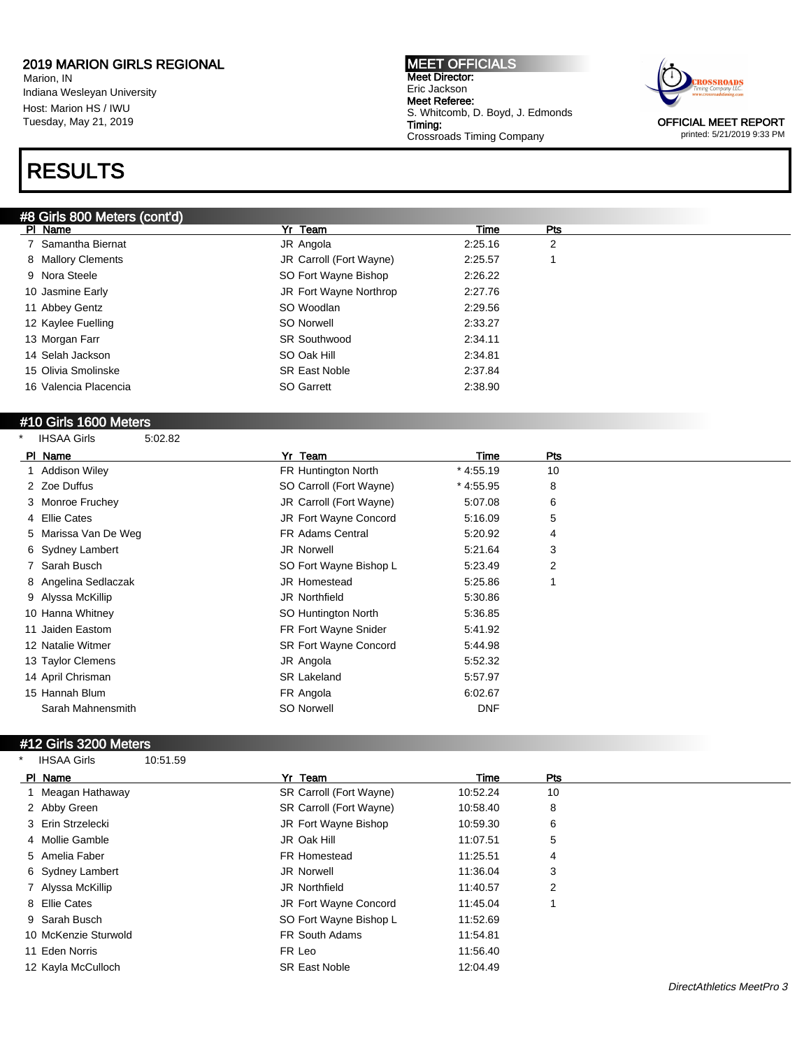Marion, IN Indiana Wesleyan University Host: Marion HS / IWU Tuesday, May 21, 2019

## RESULTS

#### #8 Girls 800 Meters (cont'd)

MEET OFFICIALS Meet Director: Eric Jackson Meet Referee: S. Whitcomb, D. Boyd, J. Edmonds Timing: Crossroads Timing Company



OFFICIAL MEET REPORT printed: 5/21/2019 9:33 PM

| 11 Abbey Gentz                | SO Woodlan              | 2:29.56    |     |  |
|-------------------------------|-------------------------|------------|-----|--|
| 12 Kaylee Fuelling            | <b>SO Norwell</b>       | 2:33.27    |     |  |
| 13 Morgan Farr                | <b>SR Southwood</b>     | 2:34.11    |     |  |
| 14 Selah Jackson              | SO Oak Hill             | 2:34.81    |     |  |
| 15 Olivia Smolinske           | <b>SR East Noble</b>    | 2:37.84    |     |  |
| 16 Valencia Placencia         | SO Garrett              | 2:38.90    |     |  |
|                               |                         |            |     |  |
| #10 Girls 1600 Meters         |                         |            |     |  |
| <b>IHSAA Girls</b><br>5:02.82 |                         |            |     |  |
| PI Name                       | Yr Team                 | Time       | Pts |  |
| Addison Wiley                 | FR Huntington North     | $*4:55.19$ | 10  |  |
| 2 Zoe Duffus                  | SO Carroll (Fort Wayne) | $*4:55.95$ | 8   |  |
| 3 Monroe Fruchey              | JR Carroll (Fort Wayne) | 5:07.08    | 6   |  |
| 4 Ellie Cates                 | JR Fort Wayne Concord   | 5:16.09    | 5   |  |
| Marissa Van De Weg            | FR Adams Central        | 5:20.92    | 4   |  |
| 6 Sydney Lambert              | <b>JR Norwell</b>       | 5:21.64    | 3   |  |
| 7 Sarah Busch                 | SO Fort Wayne Bishop L  | 5:23.49    | 2   |  |
| 8 Angelina Sedlaczak          | <b>JR Homestead</b>     | 5:25.86    | 1   |  |
| 9 Alyssa McKillip             | <b>JR Northfield</b>    | 5:30.86    |     |  |
| 10 Hanna Whitney              | SO Huntington North     | 5:36.85    |     |  |
| 11 Jaiden Eastom              | FR Fort Wayne Snider    | 5:41.92    |     |  |
| 12 Natalie Witmer             | SR Fort Wayne Concord   | 5:44.98    |     |  |
| 13 Taylor Clemens             | JR Angola               | 5:52.32    |     |  |
| 14 April Chrisman             | <b>SR Lakeland</b>      | 5:57.97    |     |  |
| 15 Hannah Blum                | FR Angola               | 6:02.67    |     |  |
| Sarah Mahnensmith             | <b>SO Norwell</b>       | <b>DNF</b> |     |  |

PI Name Particle Property of the President President President President President President President President 7 Samantha Biernat JR Angola 2:25.16 2 8 Mallory Clements **3.25.57** 1 JR Carroll (Fort Wayne) 2:25.57 1

9 Nora Steele SO Fort Wayne Bishop 2:26.22 10 Jasmine Early JR Fort Wayne Northrop 2:27.76

#### #12 Girls 3200 Meters

\* IHSAA Girls 10:51.59

| PI Name |                      | Yr Team                 | Time     | Pts |
|---------|----------------------|-------------------------|----------|-----|
|         | 1 Meagan Hathaway    | SR Carroll (Fort Wayne) | 10:52.24 | 10  |
|         | 2 Abby Green         | SR Carroll (Fort Wayne) | 10:58.40 | 8   |
|         | 3 Erin Strzelecki    | JR Fort Wayne Bishop    | 10:59.30 | 6   |
|         | 4 Mollie Gamble      | JR Oak Hill             | 11:07.51 | 5   |
|         | 5 Amelia Faber       | FR Homestead            | 11:25.51 | 4   |
|         | 6 Sydney Lambert     | JR Norwell              | 11:36.04 | 3   |
|         | 7 Alyssa McKillip    | <b>JR Northfield</b>    | 11:40.57 | 2   |
|         | 8 Ellie Cates        | JR Fort Wayne Concord   | 11:45.04 |     |
|         | 9 Sarah Busch        | SO Fort Wayne Bishop L  | 11:52.69 |     |
|         | 10 McKenzie Sturwold | FR South Adams          | 11:54.81 |     |
|         | 11 Eden Norris       | FR Leo                  | 11:56.40 |     |
|         | 12 Kayla McCulloch   | <b>SR East Noble</b>    | 12:04.49 |     |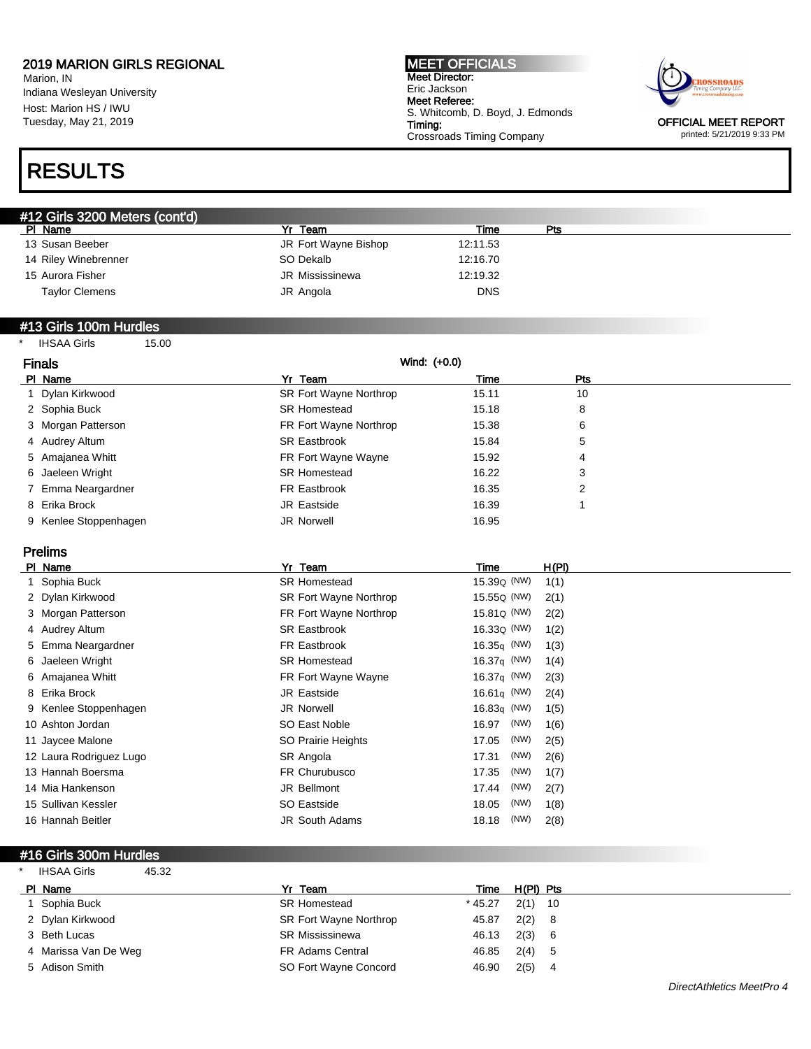Marion, IN Indiana Wesleyan University Host: Marion HS / IWU Tuesday, May 21, 2019

## RESULTS

MEET OFFICIALS Meet Director: Eric Jackson Meet Referee: S. Whitcomb, D. Boyd, J. Edmonds Timing: Crossroads Timing Company



OFFICIAL MEET REPORT printed: 5/21/2019 9:33 PM

| #12 Girls 3200 Meters (cont'd) |                      |            |     |  |  |
|--------------------------------|----------------------|------------|-----|--|--|
| PI Name                        | Yr Team              | Time       | Pts |  |  |
| 13 Susan Beeber                | JR Fort Wayne Bishop | 12:11.53   |     |  |  |
| 14 Riley Winebrenner           | SO Dekalb            | 12:16.70   |     |  |  |
| 15 Aurora Fisher               | JR Mississinewa      | 12:19.32   |     |  |  |
| <b>Taylor Clemens</b>          | JR Angola            | <b>DNS</b> |     |  |  |

#### #13 Girls 100m Hurdles

\* IHSAA Girls 15.00

| <b>Finals</b>         |                        | Wind: (+0.0) |            |  |
|-----------------------|------------------------|--------------|------------|--|
| PI Name               | Yr Team                | Time         | <b>Pts</b> |  |
| 1 Dylan Kirkwood      | SR Fort Wayne Northrop | 15.11        | 10         |  |
| 2 Sophia Buck         | <b>SR Homestead</b>    | 15.18        | 8          |  |
| 3 Morgan Patterson    | FR Fort Wayne Northrop | 15.38        | 6          |  |
| 4 Audrey Altum        | <b>SR Eastbrook</b>    | 15.84        | 5          |  |
| 5 Amajanea Whitt      | FR Fort Wayne Wayne    | 15.92        | 4          |  |
| 6 Jaeleen Wright      | <b>SR Homestead</b>    | 16.22        | 3          |  |
| 7 Emma Neargardner    | FR Eastbrook           | 16.35        | 2          |  |
| 8 Erika Brock         | JR Eastside            | 16.39        |            |  |
| 9 Kenlee Stoppenhagen | JR Norwell             | 16.95        |            |  |

Prelims

| PI Name                 | Yr Team                | Time                    | <u>H(PI)</u> |
|-------------------------|------------------------|-------------------------|--------------|
| 1 Sophia Buck           | <b>SR Homestead</b>    | 15.39 <sub>Q</sub> (NW) | 1(1)         |
| 2 Dylan Kirkwood        | SR Fort Wayne Northrop | 15.55 <sub>Q</sub> (NW) | 2(1)         |
| 3 Morgan Patterson      | FR Fort Wayne Northrop | 15.81Q (NW)             | 2(2)         |
| 4 Audrey Altum          | <b>SR Eastbrook</b>    | 16.33 <sub>Q</sub> (NW) | 1(2)         |
| 5 Emma Neargardner      | FR Eastbrook           | $16.35q$ (NW)           | 1(3)         |
| 6 Jaeleen Wright        | <b>SR Homestead</b>    | 16.37 $q$ (NW)          | 1(4)         |
| 6 Amajanea Whitt        | FR Fort Wayne Wayne    | 16.37 $q$ (NW)          | 2(3)         |
| 8 Erika Brock           | JR Eastside            | 16.61 $q$ (NW)          | 2(4)         |
| 9 Kenlee Stoppenhagen   | <b>JR Norwell</b>      | 16.83 $q$ (NW)          | 1(5)         |
| 10 Ashton Jordan        | SO East Noble          | (NW)<br>16.97           | 1(6)         |
| 11 Jaycee Malone        | SO Prairie Heights     | (NW)<br>17.05           | 2(5)         |
| 12 Laura Rodriguez Lugo | SR Angola              | (NW)<br>17.31           | 2(6)         |
| 13 Hannah Boersma       | FR Churubusco          | (NW)<br>17.35           | 1(7)         |
| 14 Mia Hankenson        | JR Bellmont            | (NW)<br>17.44           | 2(7)         |
| 15 Sullivan Kessler     | SO Eastside            | (NW)<br>18.05           | 1(8)         |
| 16 Hannah Beitler       | <b>JR South Adams</b>  | (NW)<br>18.18           | 2(8)         |
|                         |                        |                         |              |

#### #16 Girls 300m Hurdles

| <b>IHSAA Girls</b><br>$\star$ | 45.32 |                         |           |           |     |
|-------------------------------|-------|-------------------------|-----------|-----------|-----|
| PI Name                       |       | Yr Team                 | Time      | H(PI) Pts |     |
| 1 Sophia Buck                 |       | <b>SR Homestead</b>     | $*$ 45.27 | $2(1)$ 10 |     |
| 2 Dylan Kirkwood              |       | SR Fort Wayne Northrop  | 45.87     | 2(2)      | - 8 |
| 3 Beth Lucas                  |       | <b>SR Mississinewa</b>  | 46.13     | 2(3)      | - 6 |
| 4 Marissa Van De Weg          |       | <b>FR Adams Central</b> | 46.85     | 2(4)      | -5  |
| 5 Adison Smith                |       | SO Fort Wayne Concord   | 46.90     | 2(5)      | 4   |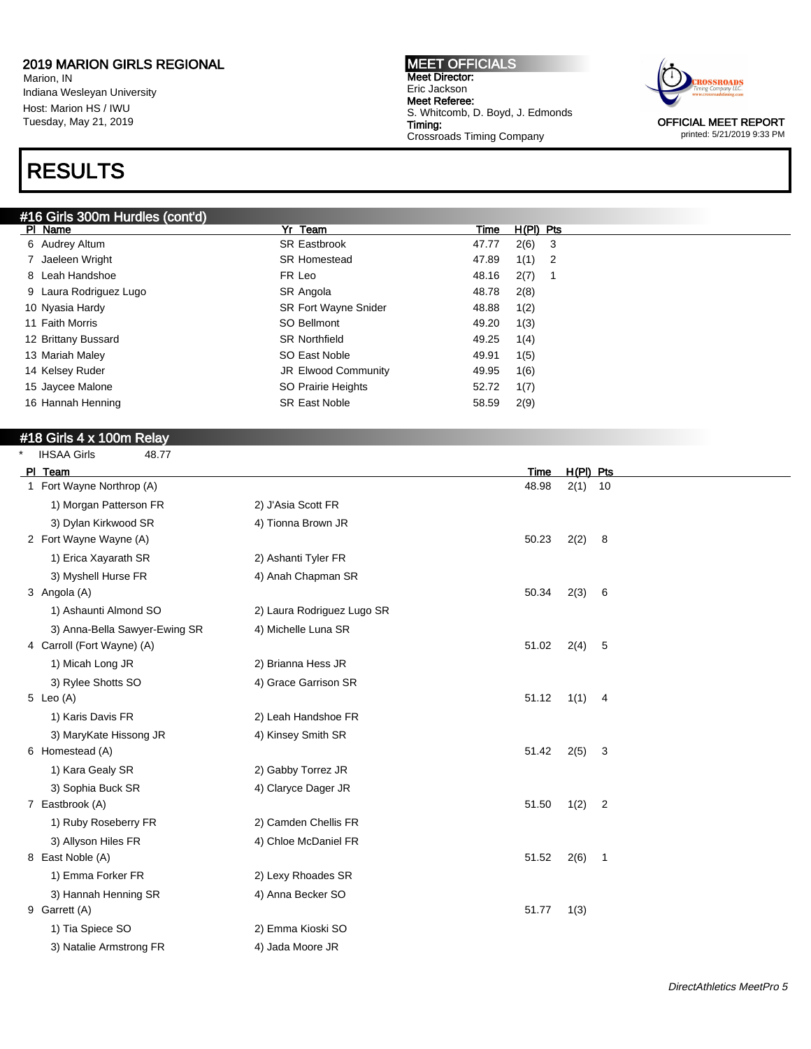Marion, IN Indiana Wesleyan University Host: Marion HS / IWU Tuesday, May 21, 2019

## RESULTS

#### #16 Girls 300m Hurdles (cont'd)

MEET OFFICIALS Meet Director: Eric Jackson Meet Referee: S. Whitcomb, D. Boyd, J. Edmonds Timing: Crossroads Timing Company



printed: 5/21/2019 9:33 PM

| $\pi$ to Gins Soom Fruidigs (conter) |                             |       |             |    |
|--------------------------------------|-----------------------------|-------|-------------|----|
| PI Name                              | Yr Team                     | Time  | $H(PI)$ Pts |    |
| 6 Audrey Altum                       | <b>SR Eastbrook</b>         | 47.77 | 2(6)        | -3 |
| 7 Jaeleen Wright                     | <b>SR Homestead</b>         | 47.89 | 1(1)        | -2 |
| 8 Leah Handshoe                      | FR Leo                      | 48.16 | 2(7)        |    |
| 9 Laura Rodriguez Lugo               | SR Angola                   | 48.78 | 2(8)        |    |
| 10 Nyasia Hardy                      | <b>SR Fort Wayne Snider</b> | 48.88 | 1(2)        |    |
| 11 Faith Morris                      | SO Bellmont                 | 49.20 | 1(3)        |    |
| 12 Brittany Bussard                  | <b>SR Northfield</b>        | 49.25 | 1(4)        |    |
| 13 Mariah Maley                      | SO East Noble               | 49.91 | 1(5)        |    |
| 14 Kelsey Ruder                      | <b>JR Elwood Community</b>  | 49.95 | 1(6)        |    |
| 15 Jaycee Malone                     | SO Prairie Heights          | 52.72 | 1(7)        |    |
| 16 Hannah Henning                    | <b>SR East Noble</b>        | 58.59 | 2(9)        |    |
|                                      |                             |       |             |    |

### #18 Girls 4 x 100m Relay

| <b>IHSAA Girls</b> | 48.77 |
|--------------------|-------|

| PI Team                       |                            | Time  | H(PI) Pts |                |
|-------------------------------|----------------------------|-------|-----------|----------------|
| 1 Fort Wayne Northrop (A)     |                            | 48.98 | 2(1)      | 10             |
| 1) Morgan Patterson FR        | 2) J'Asia Scott FR         |       |           |                |
| 3) Dylan Kirkwood SR          | 4) Tionna Brown JR         |       |           |                |
| 2 Fort Wayne Wayne (A)        |                            | 50.23 | 2(2)      | 8              |
| 1) Erica Xayarath SR          | 2) Ashanti Tyler FR        |       |           |                |
| 3) Myshell Hurse FR           | 4) Anah Chapman SR         |       |           |                |
| 3 Angola (A)                  |                            | 50.34 | 2(3)      | 6              |
| 1) Ashaunti Almond SO         | 2) Laura Rodriguez Lugo SR |       |           |                |
| 3) Anna-Bella Sawyer-Ewing SR | 4) Michelle Luna SR        |       |           |                |
| 4 Carroll (Fort Wayne) (A)    |                            | 51.02 | 2(4)      | 5              |
| 1) Micah Long JR              | 2) Brianna Hess JR         |       |           |                |
| 3) Rylee Shotts SO            | 4) Grace Garrison SR       |       |           |                |
| 5 Leo $(A)$                   |                            | 51.12 | 1(1)      | 4              |
| 1) Karis Davis FR             | 2) Leah Handshoe FR        |       |           |                |
| 3) MaryKate Hissong JR        | 4) Kinsey Smith SR         |       |           |                |
| 6 Homestead (A)               |                            | 51.42 | 2(5)      | 3              |
| 1) Kara Gealy SR              | 2) Gabby Torrez JR         |       |           |                |
| 3) Sophia Buck SR             | 4) Claryce Dager JR        |       |           |                |
| 7 Eastbrook (A)               |                            | 51.50 | 1(2)      | $\overline{c}$ |
| 1) Ruby Roseberry FR          | 2) Camden Chellis FR       |       |           |                |
| 3) Allyson Hiles FR           | 4) Chloe McDaniel FR       |       |           |                |
| 8 East Noble (A)              |                            | 51.52 | 2(6)      | $\mathbf{1}$   |
| 1) Emma Forker FR             | 2) Lexy Rhoades SR         |       |           |                |
| 3) Hannah Henning SR          | 4) Anna Becker SO          |       |           |                |
| 9 Garrett (A)                 |                            | 51.77 | 1(3)      |                |
| 1) Tia Spiece SO              | 2) Emma Kioski SO          |       |           |                |
| 3) Natalie Armstrong FR       | 4) Jada Moore JR           |       |           |                |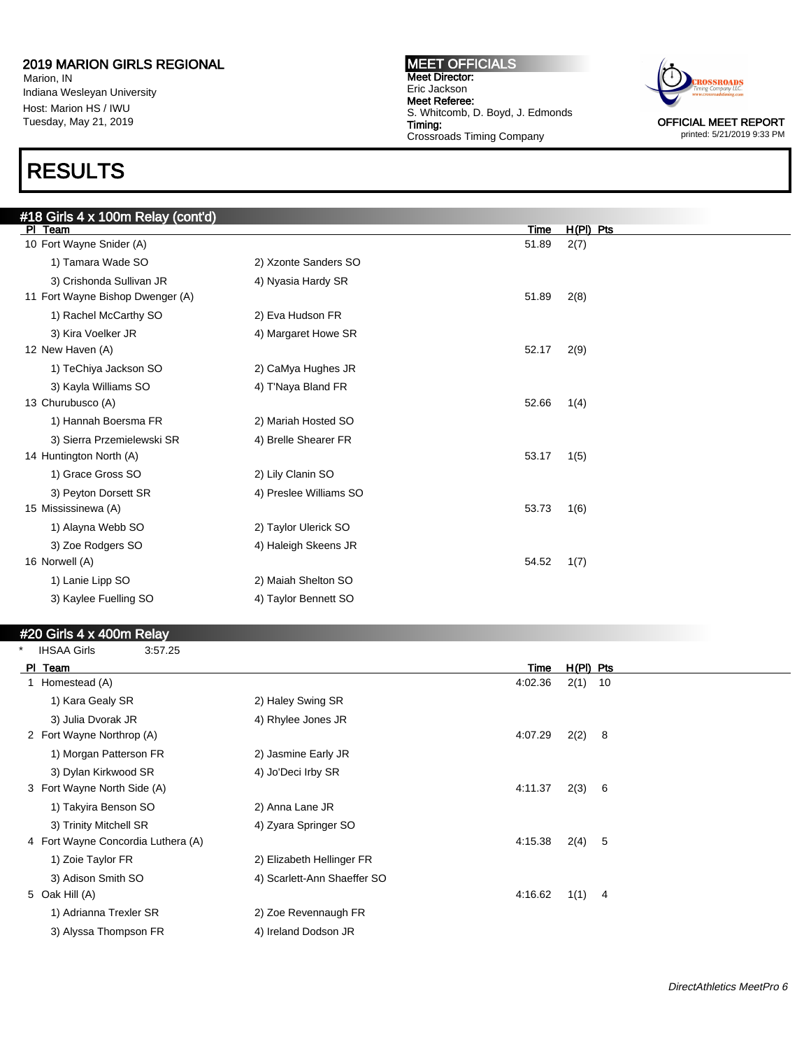Marion, IN Indiana Wesleyan University Host: Marion HS / IWU Tuesday, May 21, 2019

## RESULTS

MEET OFFICIALS Meet Director: Eric Jackson Meet Referee: S. Whitcomb, D. Boyd, J. Edmonds Timing: Crossroads Timing Company



printed: 5/21/2019 9:33 PM

| #18 Girls 4 x 100m Relay (cont'd) |                        |       |             |
|-----------------------------------|------------------------|-------|-------------|
| PI Team                           |                        | Time  | $H(PI)$ Pts |
| 10 Fort Wayne Snider (A)          |                        | 51.89 | 2(7)        |
| 1) Tamara Wade SO                 | 2) Xzonte Sanders SO   |       |             |
| 3) Crishonda Sullivan JR          | 4) Nyasia Hardy SR     |       |             |
| 11 Fort Wayne Bishop Dwenger (A)  |                        | 51.89 | 2(8)        |
| 1) Rachel McCarthy SO             | 2) Eva Hudson FR       |       |             |
| 3) Kira Voelker JR                | 4) Margaret Howe SR    |       |             |
| 12 New Haven (A)                  |                        | 52.17 | 2(9)        |
| 1) TeChiya Jackson SO             | 2) CaMya Hughes JR     |       |             |
| 3) Kayla Williams SO              | 4) T'Naya Bland FR     |       |             |
| 13 Churubusco (A)                 |                        | 52.66 | 1(4)        |
| 1) Hannah Boersma FR              | 2) Mariah Hosted SO    |       |             |
| 3) Sierra Przemielewski SR        | 4) Brelle Shearer FR   |       |             |
| 14 Huntington North (A)           |                        | 53.17 | 1(5)        |
| 1) Grace Gross SO                 | 2) Lily Clanin SO      |       |             |
| 3) Peyton Dorsett SR              | 4) Preslee Williams SO |       |             |
| 15 Mississinewa (A)               |                        | 53.73 | 1(6)        |
| 1) Alayna Webb SO                 | 2) Taylor Ulerick SO   |       |             |
| 3) Zoe Rodgers SO                 | 4) Haleigh Skeens JR   |       |             |
| 16 Norwell (A)                    |                        | 54.52 | 1(7)        |
| 1) Lanie Lipp SO                  | 2) Maiah Shelton SO    |       |             |
| 3) Kaylee Fuelling SO             | 4) Taylor Bennett SO   |       |             |
|                                   |                        |       |             |

#### #20 Girls 4 x 400m Relay

| $\ast$ | <b>IHSAA Girls</b>                 | 3:57.25 |                             |         |             |     |
|--------|------------------------------------|---------|-----------------------------|---------|-------------|-----|
|        | PI Team                            |         |                             | Time    | $H(PI)$ Pts |     |
|        | 1 Homestead (A)                    |         |                             | 4:02.36 | $2(1)$ 10   |     |
|        | 1) Kara Gealy SR                   |         | 2) Haley Swing SR           |         |             |     |
|        | 3) Julia Dvorak JR                 |         | 4) Rhylee Jones JR          |         |             |     |
|        | 2 Fort Wayne Northrop (A)          |         |                             | 4:07.29 | 2(2)        | 8   |
|        | 1) Morgan Patterson FR             |         | 2) Jasmine Early JR         |         |             |     |
|        | 3) Dylan Kirkwood SR               |         | 4) Jo'Deci Irby SR          |         |             |     |
|        | 3 Fort Wayne North Side (A)        |         |                             | 4:11.37 | 2(3)        | - 6 |
|        | 1) Takyira Benson SO               |         | 2) Anna Lane JR             |         |             |     |
|        | 3) Trinity Mitchell SR             |         | 4) Zyara Springer SO        |         |             |     |
|        | 4 Fort Wayne Concordia Luthera (A) |         |                             | 4:15.38 | 2(4)        | -5  |
|        | 1) Zoie Taylor FR                  |         | 2) Elizabeth Hellinger FR   |         |             |     |
|        | 3) Adison Smith SO                 |         | 4) Scarlett-Ann Shaeffer SO |         |             |     |
|        | 5 Oak Hill (A)                     |         |                             | 4:16.62 | 1(1)        | -4  |
|        | 1) Adrianna Trexler SR             |         | 2) Zoe Revennaugh FR        |         |             |     |
|        | 3) Alyssa Thompson FR              |         | 4) Ireland Dodson JR        |         |             |     |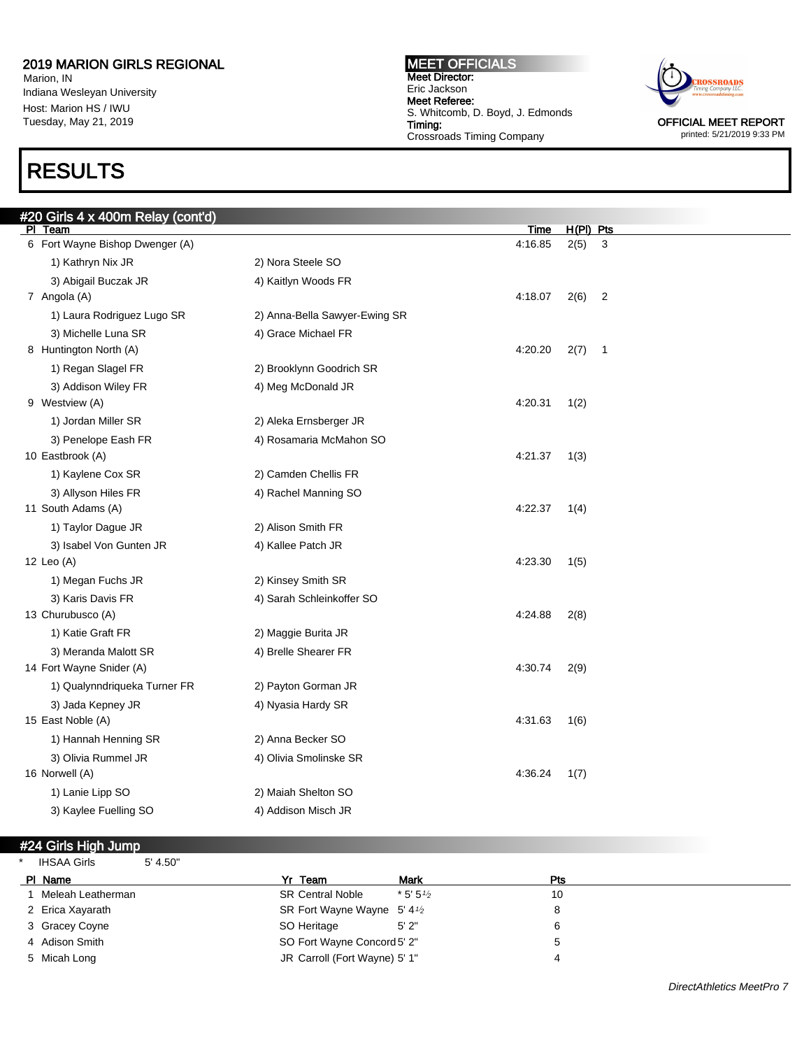Marion, IN Indiana Wesleyan University Host: Marion HS / IWU Tuesday, May 21, 2019

## RESULTS

#### MEET OFFICIALS Meet Director: Eric Jackson Meet Referee: S. Whitcomb, D. Boyd, J. Edmonds Timing: Crossroads Timing Company



printed: 5/21/2019 9:33 PM

| #20 Girls 4 x 400m Relay (cont'd)<br>PI Team |                               | Time    | $H(PI)$ Pts |                |
|----------------------------------------------|-------------------------------|---------|-------------|----------------|
| 6 Fort Wayne Bishop Dwenger (A)              |                               | 4:16.85 | 2(5)        | 3              |
| 1) Kathryn Nix JR                            | 2) Nora Steele SO             |         |             |                |
| 3) Abigail Buczak JR                         | 4) Kaitlyn Woods FR           |         |             |                |
| 7 Angola (A)                                 |                               | 4:18.07 | 2(6)        | $\overline{2}$ |
| 1) Laura Rodriguez Lugo SR                   | 2) Anna-Bella Sawyer-Ewing SR |         |             |                |
| 3) Michelle Luna SR                          | 4) Grace Michael FR           |         |             |                |
| 8 Huntington North (A)                       |                               | 4:20.20 | 2(7)        | $\overline{1}$ |
| 1) Regan Slagel FR                           | 2) Brooklynn Goodrich SR      |         |             |                |
| 3) Addison Wiley FR                          | 4) Meg McDonald JR            |         |             |                |
| 9 Westview (A)                               |                               | 4:20.31 | 1(2)        |                |
| 1) Jordan Miller SR                          | 2) Aleka Ernsberger JR        |         |             |                |
| 3) Penelope Eash FR                          | 4) Rosamaria McMahon SO       |         |             |                |
| 10 Eastbrook (A)                             |                               | 4:21.37 | 1(3)        |                |
| 1) Kaylene Cox SR                            | 2) Camden Chellis FR          |         |             |                |
| 3) Allyson Hiles FR                          | 4) Rachel Manning SO          |         |             |                |
| 11 South Adams (A)                           |                               | 4:22.37 | 1(4)        |                |
| 1) Taylor Dague JR                           | 2) Alison Smith FR            |         |             |                |
| 3) Isabel Von Gunten JR                      | 4) Kallee Patch JR            |         |             |                |
| 12 Leo (A)                                   |                               | 4:23.30 | 1(5)        |                |
| 1) Megan Fuchs JR                            | 2) Kinsey Smith SR            |         |             |                |
| 3) Karis Davis FR                            | 4) Sarah Schleinkoffer SO     |         |             |                |
| 13 Churubusco (A)                            |                               | 4:24.88 | 2(8)        |                |
| 1) Katie Graft FR                            | 2) Maggie Burita JR           |         |             |                |
| 3) Meranda Malott SR                         | 4) Brelle Shearer FR          |         |             |                |
| 14 Fort Wayne Snider (A)                     |                               | 4:30.74 | 2(9)        |                |
| 1) Qualynndriqueka Turner FR                 | 2) Payton Gorman JR           |         |             |                |
| 3) Jada Kepney JR                            | 4) Nyasia Hardy SR            |         |             |                |
| 15 East Noble (A)                            |                               | 4:31.63 | 1(6)        |                |
| 1) Hannah Henning SR                         | 2) Anna Becker SO             |         |             |                |
| 3) Olivia Rummel JR<br>16 Norwell (A)        | 4) Olivia Smolinske SR        | 4:36.24 | 1(7)        |                |
|                                              | 2) Maiah Shelton SO           |         |             |                |
| 1) Lanie Lipp SO                             |                               |         |             |                |
| 3) Kaylee Fuelling SO                        | 4) Addison Misch JR           |         |             |                |

### #24 Girls High Jump

\* IHSAA Girls 5' 4.50"

| РI | Name              | Yr Team                                  | <b>Mark</b> | Pts |
|----|-------------------|------------------------------------------|-------------|-----|
|    | Meleah Leatherman | <b>SR Central Noble</b>                  | $*5.51/2$   | 10  |
|    | 2 Erica Xayarath  | SR Fort Wayne Wayne $5'$ 4 $\frac{1}{2}$ |             |     |
|    | 3 Gracey Coyne    | SO Heritage                              | 5'2"        | 6   |
|    | 4 Adison Smith    | SO Fort Wayne Concord 5' 2"              |             |     |
|    | 5 Micah Long      | JR Carroll (Fort Wayne) 5' 1"            |             | 4   |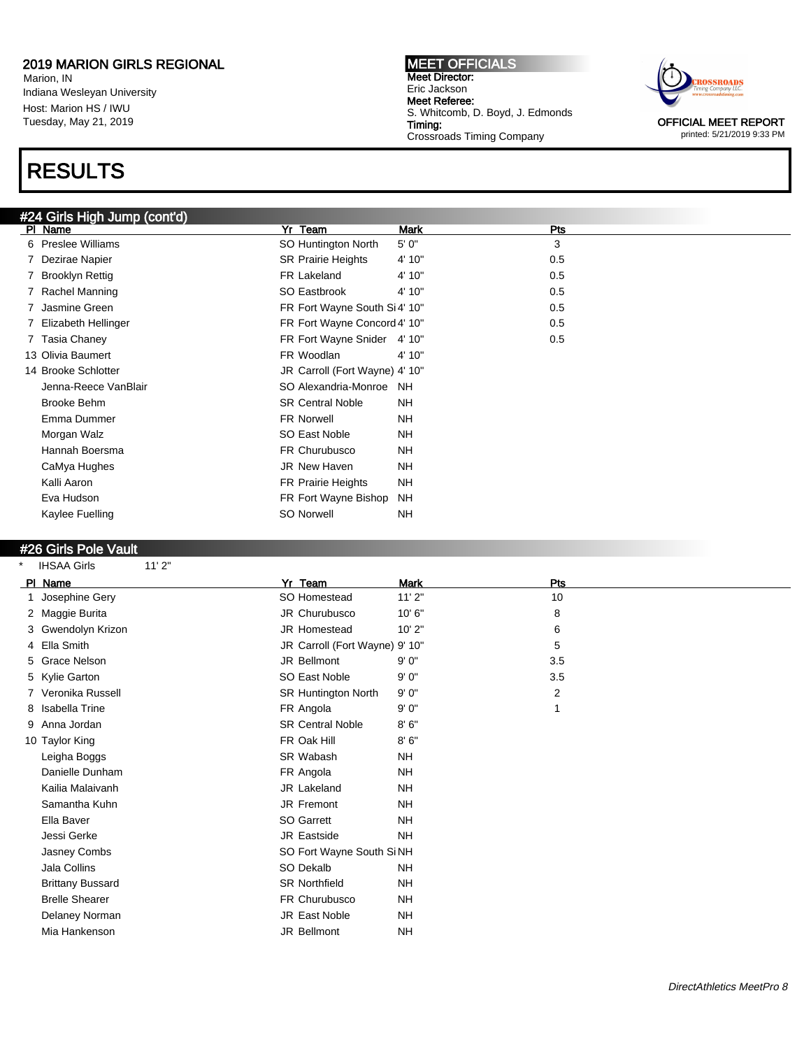Marion, IN Indiana Wesleyan University Host: Marion HS / IWU Tuesday, May 21, 2019

### RESULTS

### #24 Girls High Jump (cont'd)

MEET OFFICIALS Meet Director: Eric Jackson Meet Referee: S. Whitcomb, D. Boyd, J. Edmonds Timing: Crossroads Timing Company



OFFICIAL MEET REPORT printed: 5/21/2019 9:33 PM

| ווט ווידע (עווויט <del>וי</del> בא# |                                |           |     |
|-------------------------------------|--------------------------------|-----------|-----|
| PI Name                             | Yr Team                        | Mark      | Pts |
| 6 Preslee Williams                  | SO Huntington North            | 5' 0"     | 3   |
| 7 Dezirae Napier                    | <b>SR Prairie Heights</b>      | 4' 10"    | 0.5 |
| 7 Brooklyn Rettig                   | FR Lakeland                    | 4' 10"    | 0.5 |
| 7 Rachel Manning                    | SO Eastbrook                   | 4' 10"    | 0.5 |
| 7 Jasmine Green                     | FR Fort Wayne South Si4' 10"   |           | 0.5 |
| 7 Elizabeth Hellinger               | FR Fort Wayne Concord 4' 10"   |           | 0.5 |
| 7 Tasia Chaney                      | FR Fort Wayne Snider 4' 10"    |           | 0.5 |
| 13 Olivia Baumert                   | FR Woodlan                     | 4' 10"    |     |
| 14 Brooke Schlotter                 | JR Carroll (Fort Wayne) 4' 10" |           |     |
| Jenna-Reece VanBlair                | SO Alexandria-Monroe           | <b>NH</b> |     |
| Brooke Behm                         | <b>SR Central Noble</b>        | <b>NH</b> |     |
| Emma Dummer                         | FR Norwell                     | <b>NH</b> |     |
| Morgan Walz                         | SO East Noble                  | <b>NH</b> |     |
| Hannah Boersma                      | FR Churubusco                  | <b>NH</b> |     |
| CaMya Hughes                        | <b>JR New Haven</b>            | <b>NH</b> |     |
| Kalli Aaron                         | FR Prairie Heights             | <b>NH</b> |     |
| Eva Hudson                          | FR Fort Wayne Bishop           | <b>NH</b> |     |
| Kaylee Fuelling                     | SO Norwell                     | NH        |     |
|                                     |                                |           |     |

#### #26 Girls Pole Vault

IHSAA Girls 11' 2" PI Name **Product Product Product Product Product Product Product Product Product Product Product Product Product** 1 Josephine Gery 10 Contract Communication of the SO Homestead 11' 2" and 10 10 2 Maggie Burita **3 No. 2 Maggie Burita** 3 All 100 MHz JR Churubusco 3 10' 6" 8 8 8 3 Gwendolyn Krizon 10' 2" 6 Gwendolyn Krizon 10' 2" 4 Ella Smith **Smith School Ella Smith JR Carroll (Fort Wayne) 9' 10"** 5 5 Grace Nelson 3.5 (3.5) Sellmont 9' 0" 3.5 5 Kylie Garton **SO East Noble** 9' 0" 3.5 7 Veronika Russell **SR Huntington North 9' 0"** 2 8 Isabella Trine FR Angola 9' 0" 1 9 Anna Jordan SR Central Noble 8' 6" 10 Taylor King **FR Oak Hill** 8' 6" Leigha Boggs NH NH SR Wabash NH Danielle Dunham **FR** Angola Kailia Malaivanh JR Lakeland NH Samantha Kuhn **International Samantha Kuhn** JR Fremont Ella Baver NH Jessi Gerke NH Jasney Combs SO Fort Wayne South Si NH Jala Collins NH Brittany Bussard **NH** SR Northfield NH Brelle Shearer **FR Churubusco** NH Delaney Norman **JR** East Noble NH Mia Hankenson JR Bellmont NH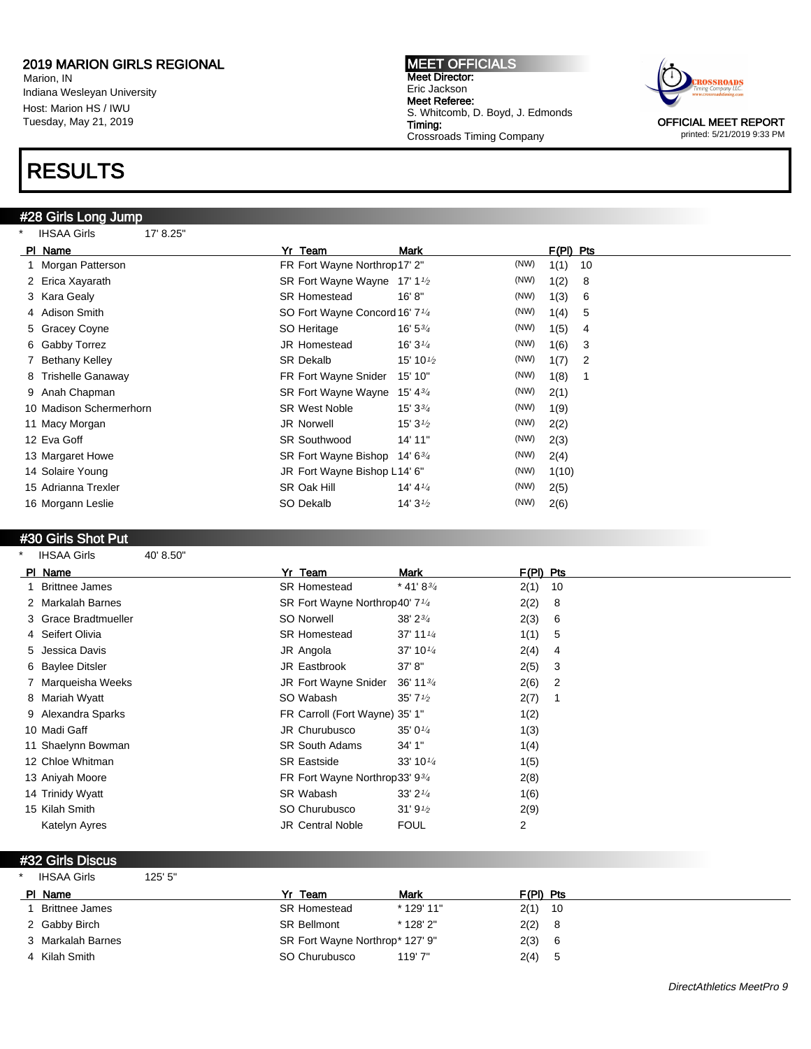Marion, IN Indiana Wesleyan University Host: Marion HS / IWU Tuesday, May 21, 2019

## RESULTS

#28 Girls Long Jump \* IHSAA Girls 17' 8.25" MEET OFFICIALS Meet Director: Eric Jackson Meet Referee: S. Whitcomb, D. Boyd, J. Edmonds Timing: Crossroads Timing Company



printed: 5/21/2019 9:33 PM

| .<br>.                  |                                            |                                   |      |             |    |
|-------------------------|--------------------------------------------|-----------------------------------|------|-------------|----|
| PI Name                 | Yr Team                                    | Mark                              |      | $F(PI)$ Pts |    |
| 1 Morgan Patterson      | FR Fort Wayne Northrop17' 2"               |                                   | (NW) | 1(1)        | 10 |
| 2 Erica Xayarath        | SR Fort Wayne Wayne 17' 1 <sup>1</sup> /2  |                                   | (NW) | 1(2)        | 8  |
| 3 Kara Gealy            | <b>SR Homestead</b>                        | 16' 8''                           | (NW) | 1(3)        | 6  |
| 4 Adison Smith          | SO Fort Wayne Concord 16' 7 <sup>1/4</sup> |                                   | (NW) | 1(4)        | 5  |
| 5 Gracey Coyne          | SO Heritage                                | 16' 5 <sup>3</sup> / <sub>4</sub> | (NW) | 1(5)        | 4  |
| 6 Gabby Torrez          | <b>JR Homestead</b>                        | 16' $3\frac{1}{4}$                | (NW) | 1(6)        | 3  |
| 7 Bethany Kelley        | <b>SR Dekalb</b>                           | 15' 10 $\frac{1}{2}$              | (NW) | 1(7)        | 2  |
| 8 Trishelle Ganaway     | FR Fort Wayne Snider                       | 15' 10"                           | (NW) | 1(8)        | 1  |
| 9 Anah Chapman          | SR Fort Wayne Wayne                        | 15' 4 $3/4$                       | (NW) | 2(1)        |    |
| 10 Madison Schermerhorn | <b>SR West Noble</b>                       | $15'3^{3}/4$                      | (NW) | 1(9)        |    |
| 11 Macy Morgan          | <b>JR Norwell</b>                          | 15' $3\frac{1}{2}$                | (NW) | 2(2)        |    |
| 12 Eva Goff             | <b>SR Southwood</b>                        | 14' 11"                           | (NW) | 2(3)        |    |
| 13 Margaret Howe        | SR Fort Wayne Bishop                       | $14' 6^{3/4}$                     | (NW) | 2(4)        |    |
| 14 Solaire Young        | JR Fort Wayne Bishop L14' 6"               |                                   | (NW) | 1(10)       |    |
| 15 Adrianna Trexler     | SR Oak Hill                                | 14' 4 $\frac{1}{4}$               | (NW) | 2(5)        |    |
| 16 Morgann Leslie       | SO Dekalb                                  | 14' $3\frac{1}{2}$                | (NW) | 2(6)        |    |
|                         |                                            |                                   |      |             |    |

#### #30 Girls Shot Put

\* IHSAA Girls 40' 8.50"

| PI Name        |                       | Yr Team                                    | Mark                              | F(PI) Pts      |                |
|----------------|-----------------------|--------------------------------------------|-----------------------------------|----------------|----------------|
|                | <b>Brittnee James</b> | <b>SR Homestead</b>                        | * 41' 8 $\frac{3}{4}$             | 2(1)           | 10             |
|                | 2 Markalah Barnes     | SR Fort Wayne Northrop40' 7 <sup>1/4</sup> |                                   | 2(2)           | 8              |
|                | 3 Grace Bradtmueller  | SO Norwell                                 | 38' 2 <sup>3</sup> / <sub>4</sub> | 2(3)           | 6              |
|                | 4 Seifert Olivia      | <b>SR Homestead</b>                        | 37' 11 $\frac{1}{4}$              | 1(1)           | 5              |
|                | 5 Jessica Davis       | JR Angola                                  | 37' 10 $\frac{1}{4}$              | 2(4)           | 4              |
|                | 6 Baylee Ditsler      | JR Eastbrook                               | 37' 8''                           | 2(5)           | 3              |
|                | 7 Marqueisha Weeks    | JR Fort Wayne Snider                       | $36' 11^{3/4}$                    | 2(6)           | $\overline{2}$ |
|                | 8 Mariah Wyatt        | SO Wabash                                  | 35' $7\frac{1}{2}$                | 2(7)           |                |
|                | 9 Alexandra Sparks    | FR Carroll (Fort Wayne) 35' 1"             |                                   | 1(2)           |                |
| 10 Madi Gaff   |                       | JR Churubusco                              | 35' $0\frac{1}{4}$                | 1(3)           |                |
|                | 11 Shaelynn Bowman    | <b>SR South Adams</b>                      | 34'1''                            | 1(4)           |                |
|                | 12 Chloe Whitman      | <b>SR Eastside</b>                         | 33' 10 $\frac{1}{4}$              | 1(5)           |                |
|                | 13 Aniyah Moore       | FR Fort Wayne Northrop 33' 934             |                                   | 2(8)           |                |
|                | 14 Trinidy Wyatt      | SR Wabash                                  | 33'2''                            | 1(6)           |                |
| 15 Kilah Smith |                       | SO Churubusco                              | 31'9''2                           | 2(9)           |                |
|                | Katelyn Ayres         | <b>JR Central Noble</b>                    | <b>FOUL</b>                       | $\overline{2}$ |                |

#### #32 Girls Discus

| <b>IHSAA Girls</b>    | 125' 5"            |                                 |            |             |
|-----------------------|--------------------|---------------------------------|------------|-------------|
| PI Name               | Yr Team            |                                 | Mark       | F(PI) Pts   |
| <b>Brittnee James</b> |                    | <b>SR Homestead</b>             | * 129' 11" | $2(1)$ 10   |
| 2 Gabby Birch         | <b>SR Bellmont</b> |                                 | * 128' 2"  | 2(2)<br>- 8 |
| 3 Markalah Barnes     |                    | SR Fort Wayne Northrop* 127' 9" |            | 2(3) 6      |
| 4 Kilah Smith         |                    | SO Churubusco                   | 119'7"     | 2(4) 5      |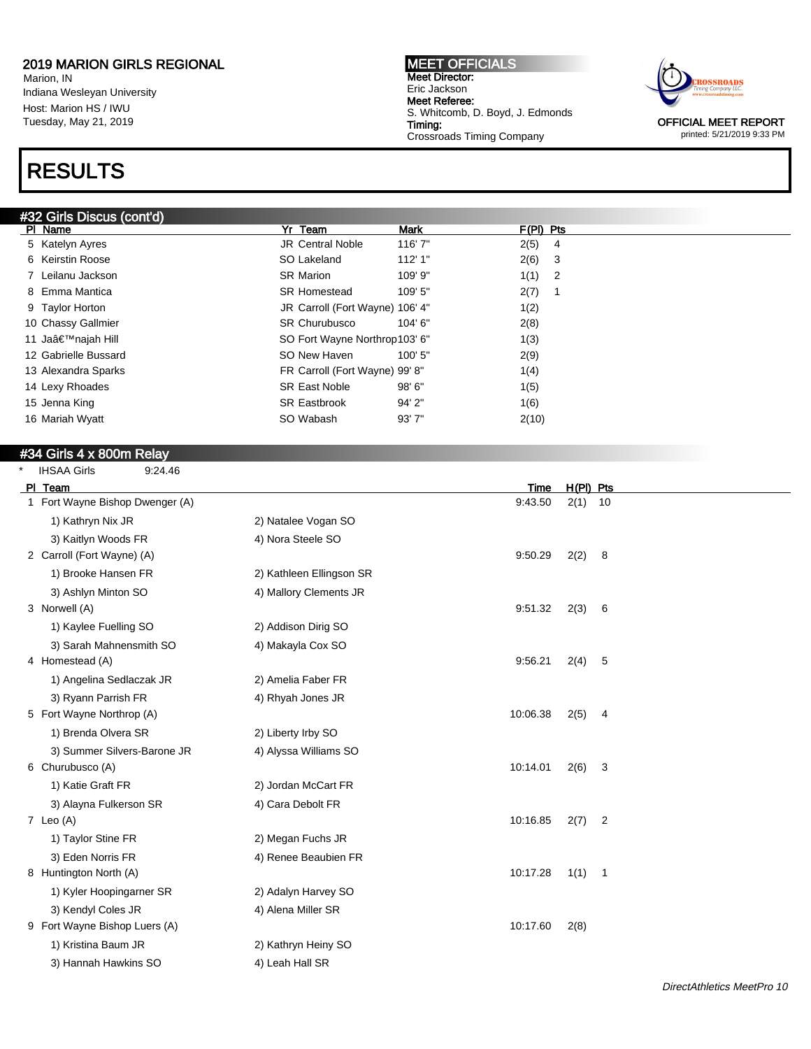Marion, IN Indiana Wesleyan University Host: Marion HS / IWU Tuesday, May 21, 2019

## RESULTS

#### #32 Girls Discus (cont'd)

MEET OFFICIALS Meet Director: Eric Jackson Meet Referee: S. Whitcomb, D. Boyd, J. Edmonds Timing: Crossroads Timing Company



printed: 5/21/2019 9:33 PM

| #32 Girls Discus (cont'd) |                                 |             |             |     |
|---------------------------|---------------------------------|-------------|-------------|-----|
| PI Name                   | Yr Team                         | <b>Mark</b> | $F(PI)$ Pts |     |
| 5 Katelyn Ayres           | <b>JR Central Noble</b>         | 116'7"      | 2(5)        | - 4 |
| 6 Keirstin Roose          | SO Lakeland                     | 112'1"      | 2(6)        | - 3 |
| 7 Leilanu Jackson         | SR Marion                       | 109' 9"     | $1(1)$ 2    |     |
| 8 Emma Mantica            | <b>SR Homestead</b>             | 109' 5"     | 2(7)        |     |
| 9 Taylor Horton           | JR Carroll (Fort Wayne) 106' 4" |             | 1(2)        |     |
| 10 Chassy Gallmier        | <b>SR Churubusco</b>            | $104'$ 6"   | 2(8)        |     |
| 11 Ja'najah Hill          | SO Fort Wayne Northrop103' 6"   |             | 1(3)        |     |
| 12 Gabrielle Bussard      | SO New Haven                    | 100' 5"     | 2(9)        |     |
| 13 Alexandra Sparks       | FR Carroll (Fort Wayne) 99' 8"  |             | 1(4)        |     |
| 14 Lexy Rhoades           | <b>SR East Noble</b>            | 98'6''      | 1(5)        |     |
| 15 Jenna King             | <b>SR Eastbrook</b>             | 94'2"       | 1(6)        |     |
| 16 Mariah Wyatt           | SO Wabash                       | 93'7''      | 2(10)       |     |
|                           |                                 |             |             |     |

### #34 Girls 4 x 800m Relay

\* IHSAA Girls 9:24.46

| PI Team                         |                          | Time     | $H(PI)$ Pts |                |
|---------------------------------|--------------------------|----------|-------------|----------------|
| 1 Fort Wayne Bishop Dwenger (A) |                          | 9:43.50  | $2(1)$ 10   |                |
| 1) Kathryn Nix JR               | 2) Natalee Vogan SO      |          |             |                |
| 3) Kaitlyn Woods FR             | 4) Nora Steele SO        |          |             |                |
| 2 Carroll (Fort Wayne) (A)      |                          | 9:50.29  | 2(2)        | 8              |
| 1) Brooke Hansen FR             | 2) Kathleen Ellingson SR |          |             |                |
| 3) Ashlyn Minton SO             | 4) Mallory Clements JR   |          |             |                |
| 3 Norwell (A)                   |                          | 9:51.32  | 2(3)        | 6              |
| 1) Kaylee Fuelling SO           | 2) Addison Dirig SO      |          |             |                |
| 3) Sarah Mahnensmith SO         | 4) Makayla Cox SO        |          |             |                |
| 4 Homestead (A)                 |                          | 9:56.21  | 2(4)        | 5              |
| 1) Angelina Sedlaczak JR        | 2) Amelia Faber FR       |          |             |                |
| 3) Ryann Parrish FR             | 4) Rhyah Jones JR        |          |             |                |
| 5 Fort Wayne Northrop (A)       |                          | 10:06.38 | 2(5)        | 4              |
| 1) Brenda Olvera SR             | 2) Liberty Irby SO       |          |             |                |
| 3) Summer Silvers-Barone JR     | 4) Alyssa Williams SO    |          |             |                |
| 6 Churubusco (A)                |                          | 10:14.01 | 2(6)        | 3              |
| 1) Katie Graft FR               | 2) Jordan McCart FR      |          |             |                |
| 3) Alayna Fulkerson SR          | 4) Cara Debolt FR        |          |             |                |
| 7 Leo $(A)$                     |                          | 10:16.85 | 2(7)        | $\overline{2}$ |
| 1) Taylor Stine FR              | 2) Megan Fuchs JR        |          |             |                |
| 3) Eden Norris FR               | 4) Renee Beaubien FR     |          |             |                |
| 8 Huntington North (A)          |                          | 10:17.28 | 1(1) 1      |                |
| 1) Kyler Hoopingarner SR        | 2) Adalyn Harvey SO      |          |             |                |
| 3) Kendyl Coles JR              | 4) Alena Miller SR       |          |             |                |
| 9 Fort Wayne Bishop Luers (A)   |                          | 10:17.60 | 2(8)        |                |
| 1) Kristina Baum JR             | 2) Kathryn Heiny SO      |          |             |                |
| 3) Hannah Hawkins SO            | 4) Leah Hall SR          |          |             |                |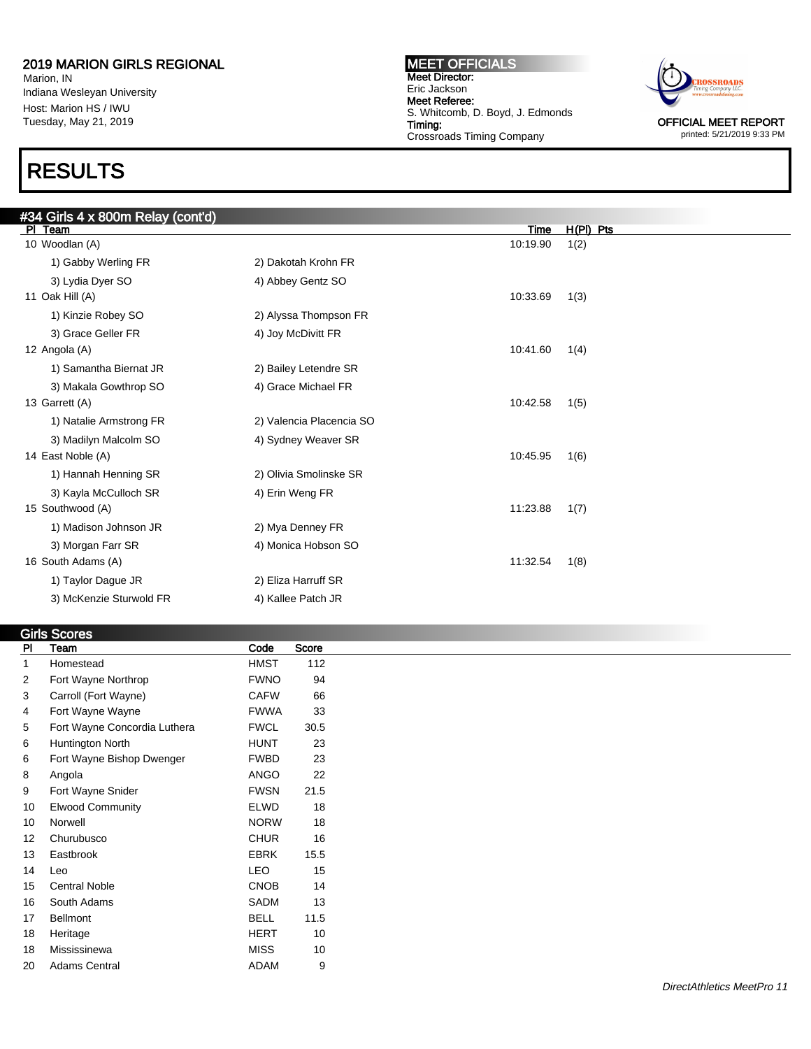Marion, IN Indiana Wesleyan University Host: Marion HS / IWU Tuesday, May 21, 2019

### RESULTS

MEET OFFICIALS Meet Director: Eric Jackson Meet Referee: S. Whitcomb, D. Boyd, J. Edmonds Timing: Crossroads Timing Company



printed: 5/21/2019 9:33 PM

| #34 Girls 4 x 800m Relay (cont'd) |                          |          |           |  |
|-----------------------------------|--------------------------|----------|-----------|--|
| PI Team                           |                          | Time     | H(PI) Pts |  |
| 10 Woodlan (A)                    |                          | 10:19.90 | 1(2)      |  |
| 1) Gabby Werling FR               | 2) Dakotah Krohn FR      |          |           |  |
| 3) Lydia Dyer SO                  | 4) Abbey Gentz SO        |          |           |  |
| 11 Oak Hill (A)                   |                          | 10:33.69 | 1(3)      |  |
| 1) Kinzie Robey SO                | 2) Alyssa Thompson FR    |          |           |  |
| 3) Grace Geller FR                | 4) Joy McDivitt FR       |          |           |  |
| 12 Angola (A)                     |                          | 10:41.60 | 1(4)      |  |
| 1) Samantha Biernat JR            | 2) Bailey Letendre SR    |          |           |  |
| 3) Makala Gowthrop SO             | 4) Grace Michael FR      |          |           |  |
| 13 Garrett (A)                    |                          | 10:42.58 | 1(5)      |  |
| 1) Natalie Armstrong FR           | 2) Valencia Placencia SO |          |           |  |
| 3) Madilyn Malcolm SO             | 4) Sydney Weaver SR      |          |           |  |
| 14 East Noble (A)                 |                          | 10:45.95 | 1(6)      |  |
| 1) Hannah Henning SR              | 2) Olivia Smolinske SR   |          |           |  |
| 3) Kayla McCulloch SR             | 4) Erin Weng FR          |          |           |  |
| 15 Southwood (A)                  |                          | 11:23.88 | 1(7)      |  |
| 1) Madison Johnson JR             | 2) Mya Denney FR         |          |           |  |
| 3) Morgan Farr SR                 | 4) Monica Hobson SO      |          |           |  |
| 16 South Adams (A)                |                          | 11:32.54 | 1(8)      |  |
| 1) Taylor Dague JR                | 2) Eliza Harruff SR      |          |           |  |
| 3) McKenzie Sturwold FR           | 4) Kallee Patch JR       |          |           |  |

#### **Girls Scores**<br>PI Team Pl Team **Code** Score 1 Homestead **HMST** 112 2 Fort Wayne Northrop **FWNO** 94 3 Carroll (Fort Wayne) CAFW 66 4 Fort Wayne Wayne FWWA 33 5 Fort Wayne Concordia Luthera FWCL 30.5 6 Huntington North **HUNT** 23 6 Fort Wayne Bishop Dwenger FWBD 23 8 Angola **ANGO** 22 9 Fort Wayne Snider **FWSN** 21.5 10 Elwood Community **ELWD** 18 10 Norwell 2008 10 NORW 18 12 Churubusco CHUR 16 13 Eastbrook **EBRK** 15.5 14 Leo LEO 15 15 Central Noble **CNOB** 14 16 South Adams SADM 13 17 Bellmont BELL 11.5 18 Heritage **HERT** 10 18 Mississinewa **MISS** 10 20 Adams Central **ADAM** 9